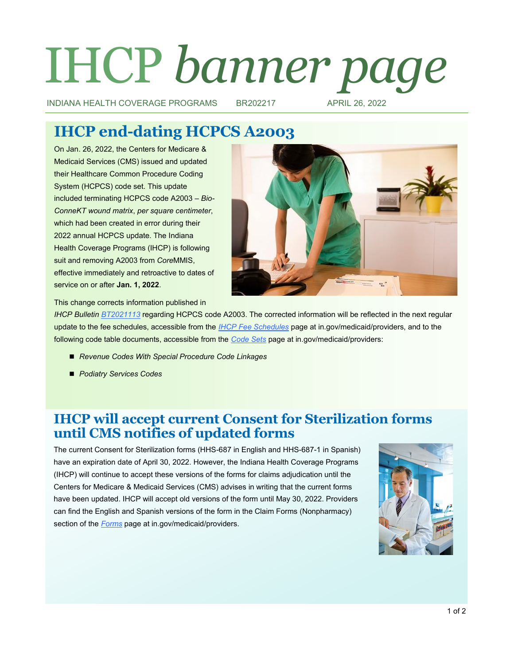# IHCP *banner page*

INDIANA HEALTH COVERAGE PROGRAMS BR202217 APRIL 26, 2022

# **IHCP end-dating HCPCS A2003**

On Jan. 26, 2022, the Centers for Medicare & Medicaid Services (CMS) issued and updated their Healthcare Common Procedure Coding System (HCPCS) code set. This update included terminating HCPCS code A2003 – *Bio-ConneKT wound matrix*, *per square centimeter*, which had been created in error during their 2022 annual HCPCS update. The Indiana Health Coverage Programs (IHCP) is following suit and removing A2003 from *Core*MMIS, effective immediately and retroactive to dates of service on or after **Jan. 1, 2022**.



This change corrects information published in

*IHCP Bulletin [BT2021113](http://provider.indianamedicaid.com/ihcp/Bulletins/BT2021113.pdf)* regarding HCPCS code A2003. The corrected information will be reflected in the next regular update to the fee schedules, accessible from the *[IHCP Fee Schedules](https://www.in.gov/medicaid/providers/business-transactions/billing-and-remittance/ihcp-fee-schedules/)* page at in.gov/medicaid/providers, and to the following code table documents, accessible from the *[Code Sets](https://www.in.gov/medicaid/providers/business-transactions/billing-and-remittance/code-sets/)* page at in.gov/medicaid/providers:

- *Revenue Codes With Special Procedure Code Linkages*
- *Podiatry Services Codes*

## **IHCP will accept current Consent for Sterilization forms until CMS notifies of updated forms**

The current Consent for Sterilization forms (HHS-687 in English and HHS-687-1 in Spanish) have an expiration date of April 30, 2022. However, the Indiana Health Coverage Programs (IHCP) will continue to accept these versions of the forms for claims adjudication until the Centers for Medicare & Medicaid Services (CMS) advises in writing that the current forms have been updated. IHCP will accept old versions of the form until May 30, 2022. Providers can find the English and Spanish versions of the form in the Claim Forms (Nonpharmacy) section of the *[Forms](https://www.in.gov/medicaid/providers/provider-references/forms/)* page at in.gov/medicaid/providers.